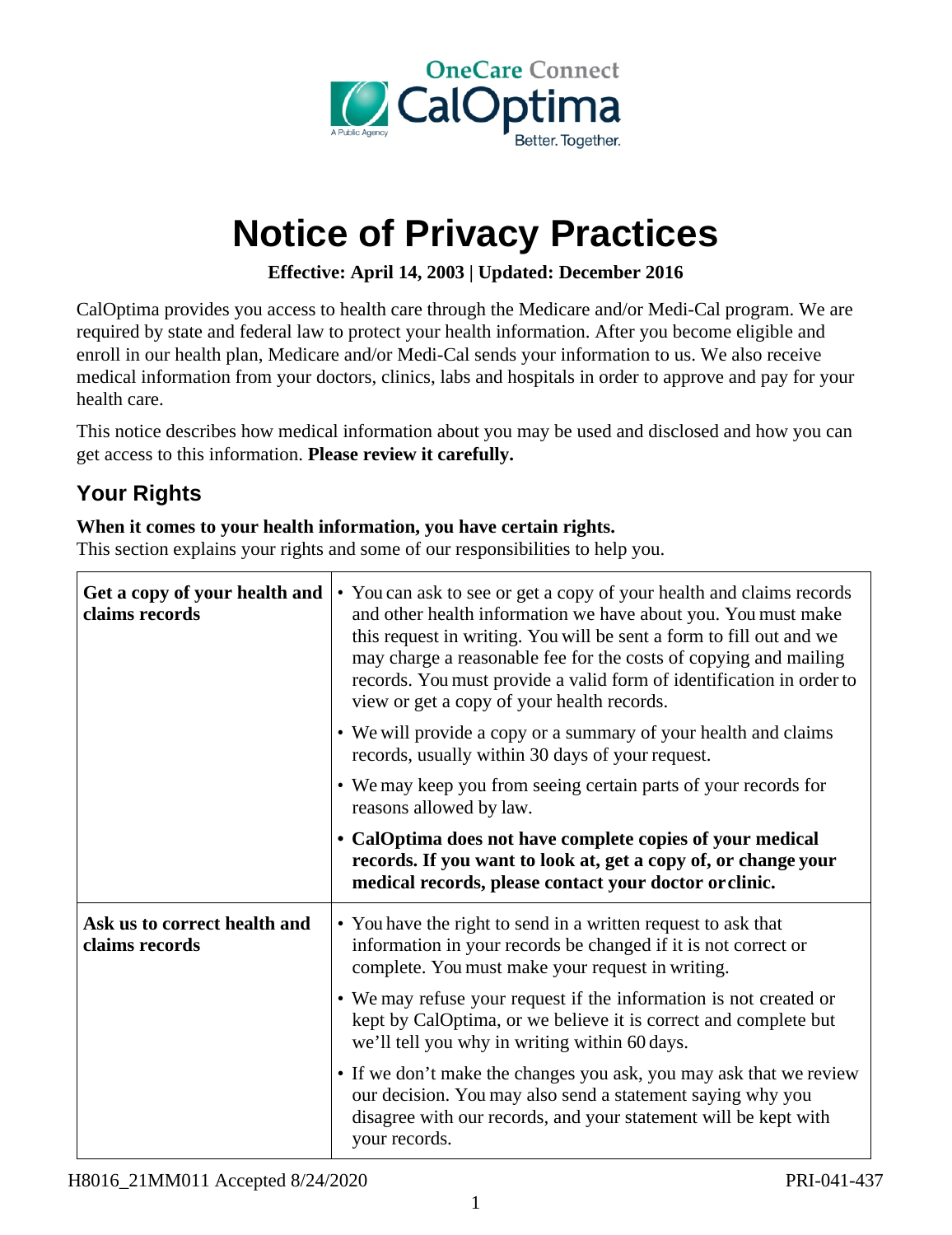

# **Notice of Privacy Practices**

**Effective: April 14, 2003 | Updated: December 2016** 

CalOptima provides you access to health care through the Medicare and/or Medi-Cal program. We are required by state and federal law to protect your health information. After you become eligible and enroll in our health plan, Medicare and/or Medi-Cal sends your information to us. We also receive medical information from your doctors, clinics, labs and hospitals in order to approve and pay for your health care.

This notice describes how medical information about you may be used and disclosed and how you can get access to this information. **Please review it carefully.**

## **Your Rights**

#### **When it comes to your health information, you have certain rights.**

This section explains your rights and some of our responsibilities to help you.

| Get a copy of your health and<br>claims records | • You can ask to see or get a copy of your health and claims records<br>and other health information we have about you. You must make<br>this request in writing. You will be sent a form to fill out and we<br>may charge a reasonable fee for the costs of copying and mailing<br>records. You must provide a valid form of identification in order to<br>view or get a copy of your health records. |
|-------------------------------------------------|--------------------------------------------------------------------------------------------------------------------------------------------------------------------------------------------------------------------------------------------------------------------------------------------------------------------------------------------------------------------------------------------------------|
|                                                 | • We will provide a copy or a summary of your health and claims<br>records, usually within 30 days of your request.                                                                                                                                                                                                                                                                                    |
|                                                 | • We may keep you from seeing certain parts of your records for<br>reasons allowed by law.                                                                                                                                                                                                                                                                                                             |
|                                                 | • CalOptima does not have complete copies of your medical<br>records. If you want to look at, get a copy of, or change your<br>medical records, please contact your doctor or clinic.                                                                                                                                                                                                                  |
| Ask us to correct health and<br>claims records  | • You have the right to send in a written request to ask that<br>information in your records be changed if it is not correct or<br>complete. You must make your request in writing.                                                                                                                                                                                                                    |
|                                                 | • We may refuse your request if the information is not created or<br>kept by CalOptima, or we believe it is correct and complete but<br>we'll tell you why in writing within 60 days.                                                                                                                                                                                                                  |
|                                                 | • If we don't make the changes you ask, you may ask that we review<br>our decision. You may also send a statement saying why you<br>disagree with our records, and your statement will be kept with<br>your records.                                                                                                                                                                                   |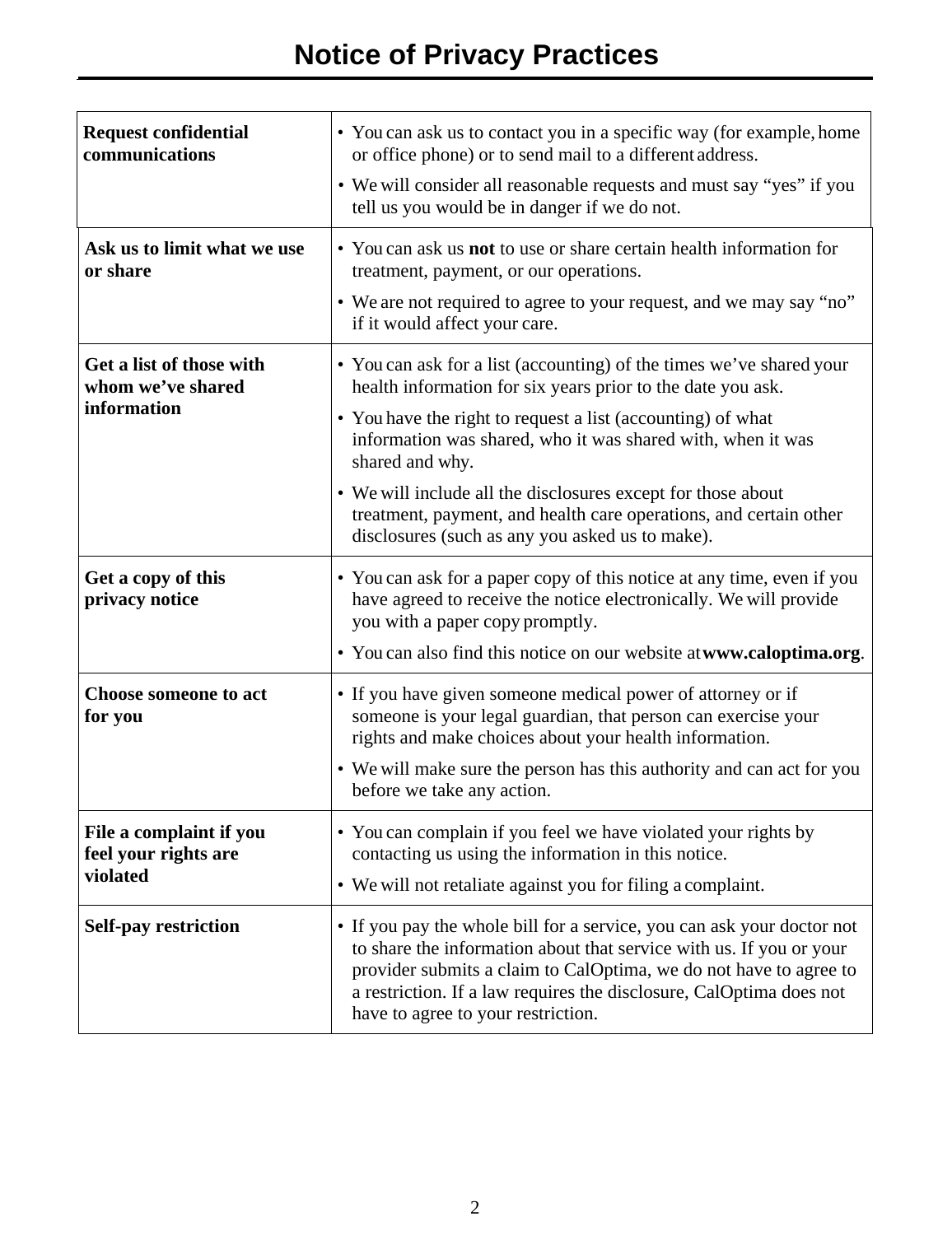| <b>Request confidential</b><br>communications                | • You can ask us to contact you in a specific way (for example, home<br>or office phone) or to send mail to a different address.<br>• We will consider all reasonable requests and must say "yes" if you<br>tell us you would be in danger if we do not.                                                                                                                                                                                                                     |
|--------------------------------------------------------------|------------------------------------------------------------------------------------------------------------------------------------------------------------------------------------------------------------------------------------------------------------------------------------------------------------------------------------------------------------------------------------------------------------------------------------------------------------------------------|
| Ask us to limit what we use<br>or share                      | • You can ask us <b>not</b> to use or share certain health information for<br>treatment, payment, or our operations.<br>• We are not required to agree to your request, and we may say "no"<br>if it would affect your care.                                                                                                                                                                                                                                                 |
| Get a list of those with<br>whom we've shared<br>information | • You can ask for a list (accounting) of the times we've shared your<br>health information for six years prior to the date you ask.<br>• You have the right to request a list (accounting) of what<br>information was shared, who it was shared with, when it was<br>shared and why.<br>• We will include all the disclosures except for those about<br>treatment, payment, and health care operations, and certain other<br>disclosures (such as any you asked us to make). |
| Get a copy of this<br>privacy notice                         | • You can ask for a paper copy of this notice at any time, even if you<br>have agreed to receive the notice electronically. We will provide<br>you with a paper copy promptly.<br>• You can also find this notice on our website at www.caloptima.org.                                                                                                                                                                                                                       |
| <b>Choose someone to act</b><br>for you                      | • If you have given someone medical power of attorney or if<br>someone is your legal guardian, that person can exercise your<br>rights and make choices about your health information.<br>• We will make sure the person has this authority and can act for you<br>before we take any action.                                                                                                                                                                                |
| File a complaint if you<br>feel your rights are<br>violated  | • You can complain if you feel we have violated your rights by<br>contacting us using the information in this notice.<br>• We will not retaliate against you for filing a complaint.                                                                                                                                                                                                                                                                                         |
| <b>Self-pay restriction</b>                                  | • If you pay the whole bill for a service, you can ask your doctor not<br>to share the information about that service with us. If you or your<br>provider submits a claim to CalOptima, we do not have to agree to<br>a restriction. If a law requires the disclosure, CalOptima does not<br>have to agree to your restriction.                                                                                                                                              |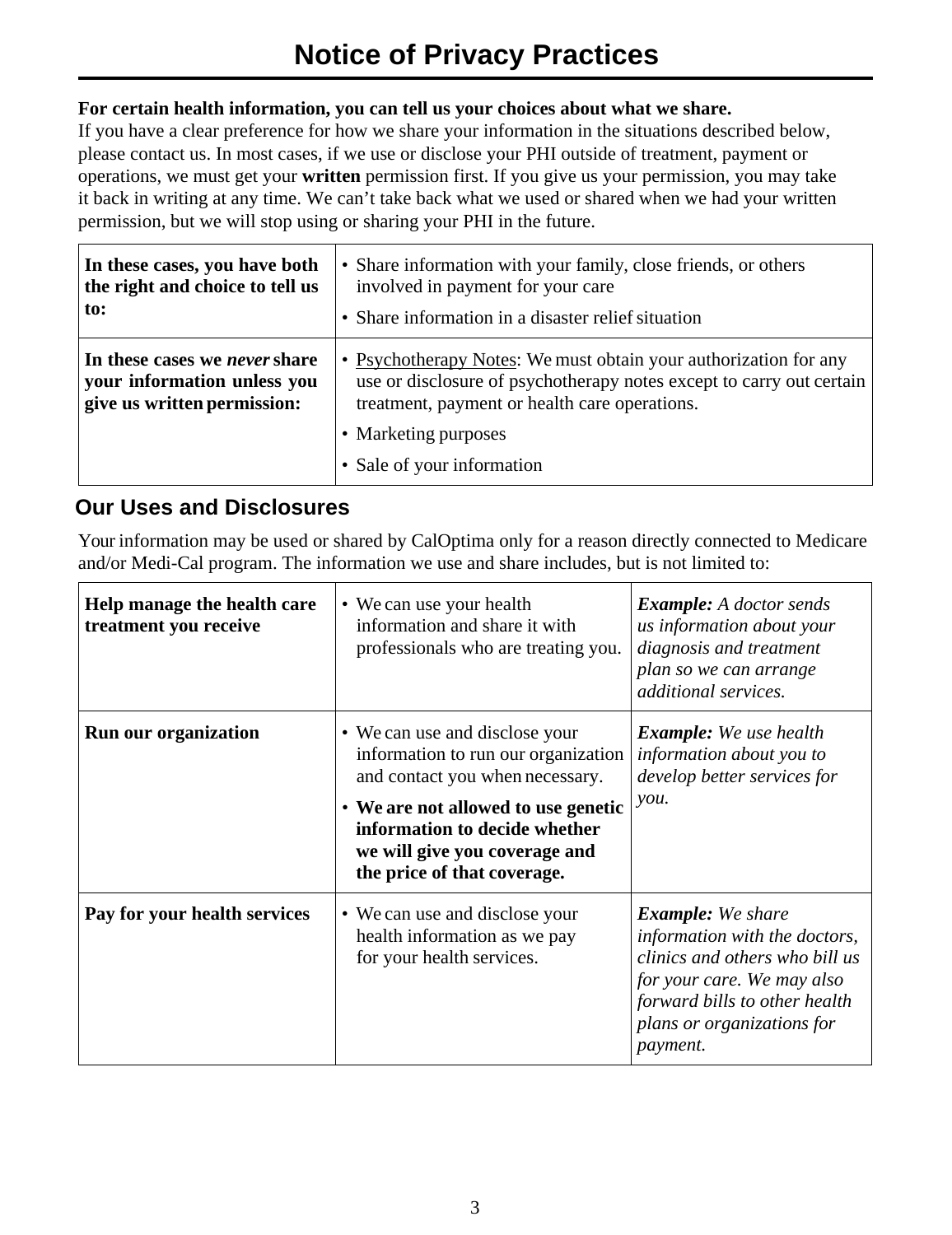#### **For certain health information, you can tell us your choices about what we share.**

If you have a clear preference for how we share your information in the situations described below, please contact us. In most cases, if we use or disclose your PHI outside of treatment, payment or operations, we must get your **written** permission first. If you give us your permission, you may take it back in writing at any time. We can't take back what we used or shared when we had your written permission, but we will stop using or sharing your PHI in the future.

| In these cases, you have both                                                                      | • Share information with your family, close friends, or others                                                                                                                                                                                  |
|----------------------------------------------------------------------------------------------------|-------------------------------------------------------------------------------------------------------------------------------------------------------------------------------------------------------------------------------------------------|
| the right and choice to tell us                                                                    | involved in payment for your care                                                                                                                                                                                                               |
| to:                                                                                                | • Share information in a disaster relief situation                                                                                                                                                                                              |
| In these cases we <i>never</i> share<br>your information unless you<br>give us written permission: | • Psychotherapy Notes: We must obtain your authorization for any<br>use or disclosure of psychotherapy notes except to carry out certain<br>treatment, payment or health care operations.<br>• Marketing purposes<br>• Sale of your information |

### **Our Uses and Disclosures**

Your information may be used or shared by CalOptima only for a reason directly connected to Medicare and/or Medi-Cal program. The information we use and share includes, but is not limited to:

| Help manage the health care<br>treatment you receive | • We can use your health<br>information and share it with<br>professionals who are treating you.                                                                                                                                                 | <b>Example:</b> A doctor sends<br>us information about your<br>diagnosis and treatment<br>plan so we can arrange<br>additional services.                                                             |
|------------------------------------------------------|--------------------------------------------------------------------------------------------------------------------------------------------------------------------------------------------------------------------------------------------------|------------------------------------------------------------------------------------------------------------------------------------------------------------------------------------------------------|
| <b>Run our organization</b>                          | • We can use and disclose your<br>information to run our organization<br>and contact you when necessary.<br>• We are not allowed to use genetic<br>information to decide whether<br>we will give you coverage and<br>the price of that coverage. | <b>Example:</b> We use health<br>information about you to<br>develop better services for<br>you.                                                                                                     |
| Pay for your health services                         | • We can use and disclose your<br>health information as we pay<br>for your health services.                                                                                                                                                      | <b>Example:</b> We share<br>information with the doctors,<br>clinics and others who bill us<br>for your care. We may also<br>forward bills to other health<br>plans or organizations for<br>payment. |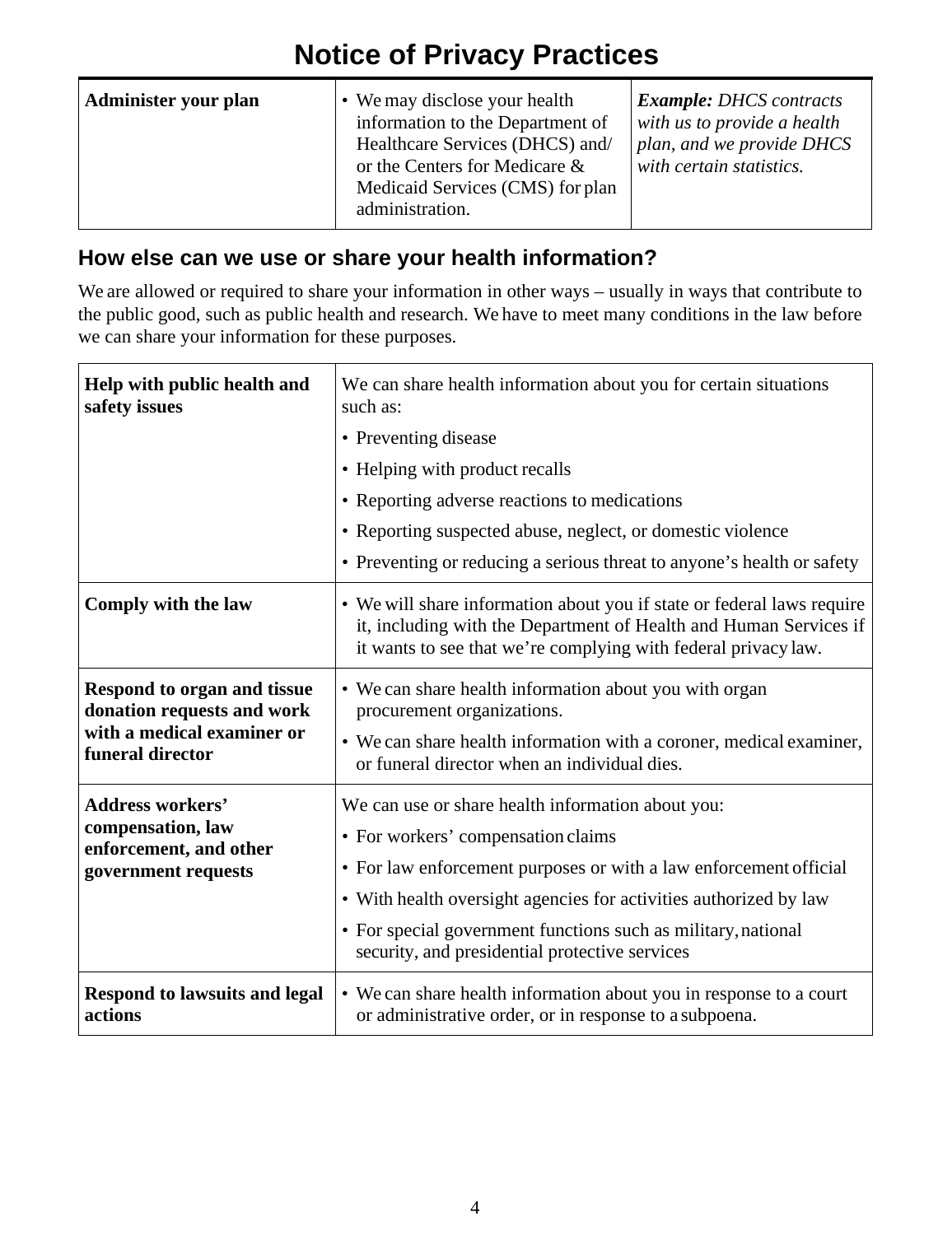## **Notice of Privacy Practices**

| Administer your plan | • We may disclose your health<br>information to the Department of<br>Healthcare Services (DHCS) and/<br>or the Centers for Medicare &<br>Medicaid Services (CMS) for plan<br>administration. | <b>Example: DHCS contracts</b><br>with us to provide a health<br>plan, and we provide DHCS<br>with certain statistics. |
|----------------------|----------------------------------------------------------------------------------------------------------------------------------------------------------------------------------------------|------------------------------------------------------------------------------------------------------------------------|
|----------------------|----------------------------------------------------------------------------------------------------------------------------------------------------------------------------------------------|------------------------------------------------------------------------------------------------------------------------|

## **How else can we use or share your health information?**

We are allowed or required to share your information in other ways – usually in ways that contribute to the public good, such as public health and research. We have to meet many conditions in the law before we can share your information for these purposes.

| Help with public health and<br>safety issues                                                                | We can share health information about you for certain situations<br>such as:<br>• Preventing disease<br>• Helping with product recalls<br>• Reporting adverse reactions to medications<br>• Reporting suspected abuse, neglect, or domestic violence<br>• Preventing or reducing a serious threat to anyone's health or safety                       |
|-------------------------------------------------------------------------------------------------------------|------------------------------------------------------------------------------------------------------------------------------------------------------------------------------------------------------------------------------------------------------------------------------------------------------------------------------------------------------|
| Comply with the law                                                                                         | • We will share information about you if state or federal laws require<br>it, including with the Department of Health and Human Services if<br>it wants to see that we're complying with federal privacy law.                                                                                                                                        |
| Respond to organ and tissue<br>donation requests and work<br>with a medical examiner or<br>funeral director | • We can share health information about you with organ<br>procurement organizations.<br>• We can share health information with a coroner, medical examiner,<br>or funeral director when an individual dies.                                                                                                                                          |
| <b>Address workers'</b><br>compensation, law<br>enforcement, and other<br>government requests               | We can use or share health information about you:<br>• For workers' compensation claims<br>• For law enforcement purposes or with a law enforcement official<br>• With health oversight agencies for activities authorized by law<br>• For special government functions such as military, national<br>security, and presidential protective services |
| <b>Respond to lawsuits and legal</b><br>actions                                                             | • We can share health information about you in response to a court<br>or administrative order, or in response to a subpoena.                                                                                                                                                                                                                         |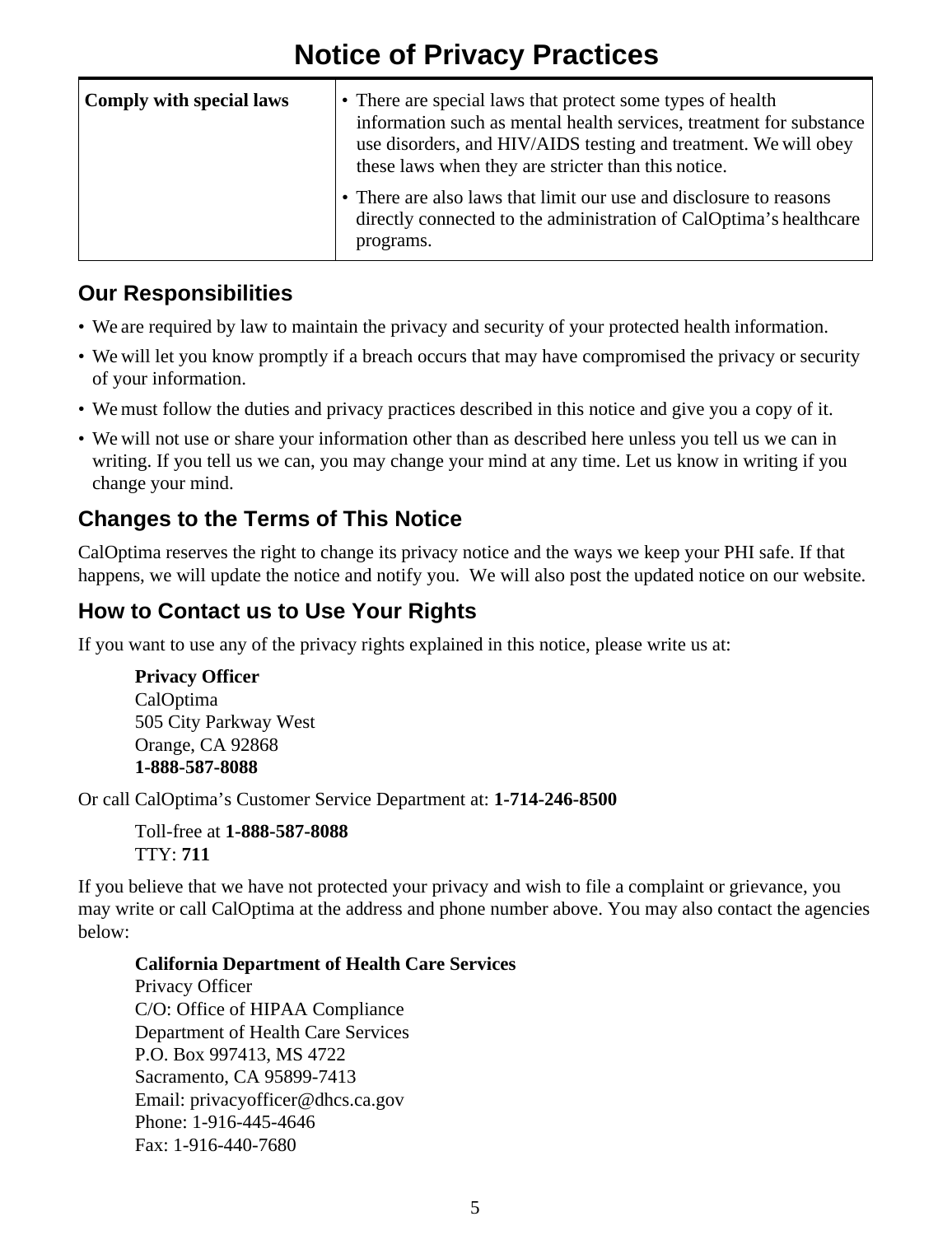## **Notice of Privacy Practices**

| <b>Comply with special laws</b> | • There are special laws that protect some types of health<br>information such as mental health services, treatment for substance<br>use disorders, and HIV/AIDS testing and treatment. We will obey<br>these laws when they are stricter than this notice. |
|---------------------------------|-------------------------------------------------------------------------------------------------------------------------------------------------------------------------------------------------------------------------------------------------------------|
|                                 | • There are also laws that limit our use and disclosure to reasons<br>directly connected to the administration of CalOptima's healthcare<br>programs.                                                                                                       |

## **Our Responsibilities**

- We are required by law to maintain the privacy and security of your protected health information.
- We will let you know promptly if a breach occurs that may have compromised the privacy or security of your information.
- We must follow the duties and privacy practices described in this notice and give you a copy of it.
- We will not use or share your information other than as described here unless you tell us we can in writing. If you tell us we can, you may change your mind at any time. Let us know in writing if you change your mind.

## **Changes to the Terms of This Notice**

CalOptima reserves the right to change its privacy notice and the ways we keep your PHI safe. If that happens, we will update the notice and notify you. We will also post the updated notice on our website.

## **How to Contact us to Use Your Rights**

If you want to use any of the privacy rights explained in this notice, please write us at:

**Privacy Officer** CalOptima 505 City Parkway West Orange, CA 92868 **1-888-587-8088**

Or call CalOptima's Customer Service Department at: **1-714-246-8500**

Toll-free at **1-888-587-8088** TTY: **711**

If you believe that we have not protected your privacy and wish to file a complaint or grievance, you may write or call CalOptima at the address and phone number above. You may also contact the agencies below:

#### **California Department of Health Care Services**

Privacy Officer C/O: Office of HIPAA Compliance Department of Health Care Services P.O. Box 997413, MS 4722 Sacramento, CA 95899-7413 Email: [privacyofficer@dhcs.ca.gov](mailto:privacyofficer@dhcs.ca.gov) Phone: 1-916-445-4646 Fax: 1-916-440-7680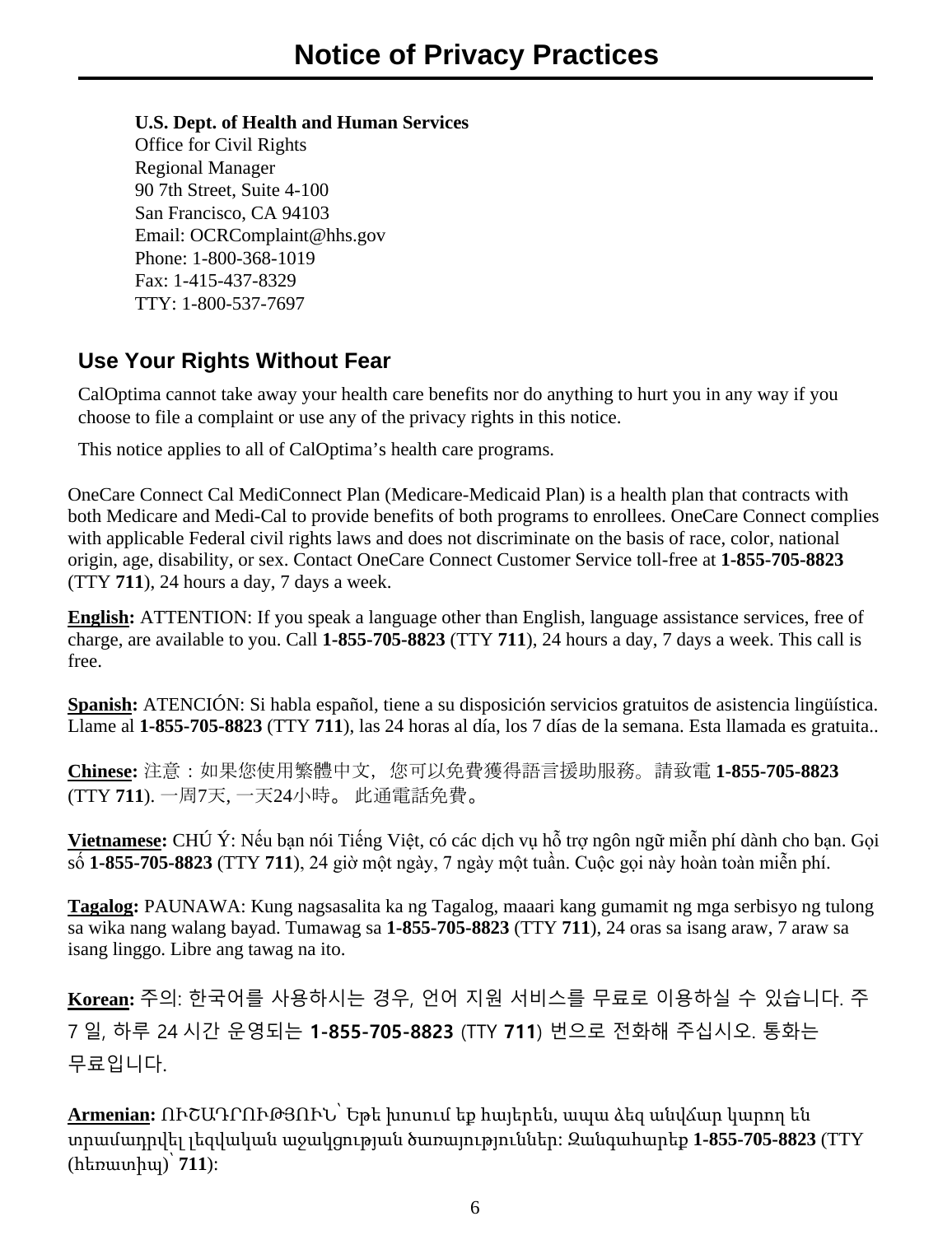#### **U.S. Dept. of Health and Human Services**

Office for Civil Rights Regional Manager 90 7th Street, Suite 4-100 San Francisco, CA 94103 Email: [OCRComplaint@hhs.gov](mailto:OCRComplaint@hhs.gov) Phone: 1-800-368-1019 Fax: 1-415-437-8329 TTY: 1-800-537-7697

### **Use Your Rights Without Fear**

CalOptima cannot take away your health care benefits nor do anything to hurt you in any way if you choose to file a complaint or use any of the privacy rights in this notice.

This notice applies to all of CalOptima's health care programs.

OneCare Connect Cal MediConnect Plan (Medicare-Medicaid Plan) is a health plan that contracts with both Medicare and Medi-Cal to provide benefits of both programs to enrollees. OneCare Connect complies with applicable Federal civil rights laws and does not discriminate on the basis of race, color, national origin, age, disability, or sex. Contact OneCare Connect Customer Service toll-free at **1-855-705-8823** (TTY **711**), 24 hours a day, 7 days a week.

**English:** ATTENTION: If you speak a language other than English, language assistance services, free of charge, are available to you. Call **1-855-705-8823** (TTY **711**), 24 hours a day, 7 days a week. This call is free.

**Spanish:** ATENCIÓN: Si habla español, tiene a su disposición servicios gratuitos de asistencia lingüística. Llame al **1-855-705-8823** (TTY **711**), las 24 horas al día, los 7 días de la semana. Esta llamada es gratuita..

**Chinese:** 注意:如果您使用繁體中文,您可以免費獲得語言援助服務。請致電 **1-855-705-8823** (TTY **711**). 一周7天, 一天24小時。 此通電話免費。

**Vietnamese:** CHÚ Ý: Nếu bạn nói Tiếng Việt, có các dịch vụ hỗ trợ ngôn ngữ miễn phí dành cho bạn. Gọi số **1-855-705-8823** (TTY **711**), 24 giờ một ngày, 7 ngày một tuần. Cuộc gọi này hoàn toàn miễn phí.

**Tagalog:** PAUNAWA: Kung nagsasalita ka ng Tagalog, maaari kang gumamit ng mga serbisyo ng tulong sa wika nang walang bayad. Tumawag sa **1-855-705-8823** (TTY **711**), 24 oras sa isang araw, 7 araw sa isang linggo. Libre ang tawag na ito.

**Korean:** 주의: 한국어를 사용하시는 경우, 언어 지원 서비스를 무료로 이용하실 수 있습니다. 주 7 일, 하루 24 시간 운영되는 **1-855-705-8823** (TTY **711**) 번으로 전화해 주십시오. 통화는 무료입니다.

**Armenian:** ՈՒՇԱԴՐՈՒԹՅՈՒՆ՝ Եթե խոսում եք հայերեն, ապա ձեզ անվճար կարող են տրամադրվել լեզվական աջակցության ծառայություններ: Զանգահարեք **1-855-705-8823** (TTY (հեռատիպ)՝ **711**):